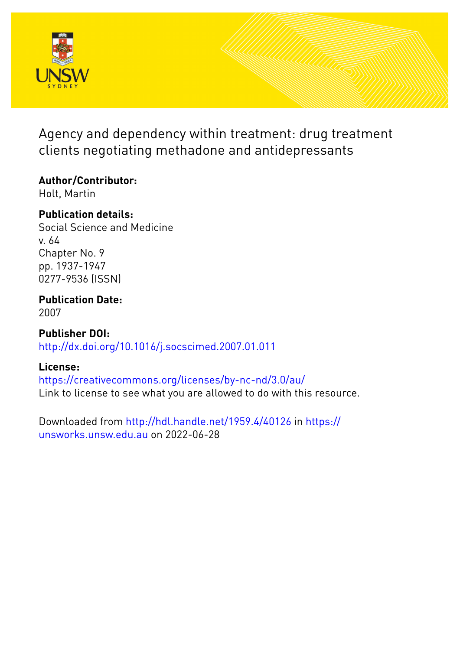

Agency and dependency within treatment: drug treatment clients negotiating methadone and antidepressants

## **Author/Contributor:**

Holt, Martin

## **Publication details:**

Social Science and Medicine v. 64 Chapter No. 9 pp. 1937-1947 0277-9536 (ISSN)

# **Publication Date:**

2007

**Publisher DOI:** [http://dx.doi.org/10.1016/j.socscimed.2007.01.011](http://dx.doi.org/http://dx.doi.org/10.1016/j.socscimed.2007.01.011)

### **License:**

<https://creativecommons.org/licenses/by-nc-nd/3.0/au/> Link to license to see what you are allowed to do with this resource.

Downloaded from <http://hdl.handle.net/1959.4/40126> in [https://](https://unsworks.unsw.edu.au) [unsworks.unsw.edu.au](https://unsworks.unsw.edu.au) on 2022-06-28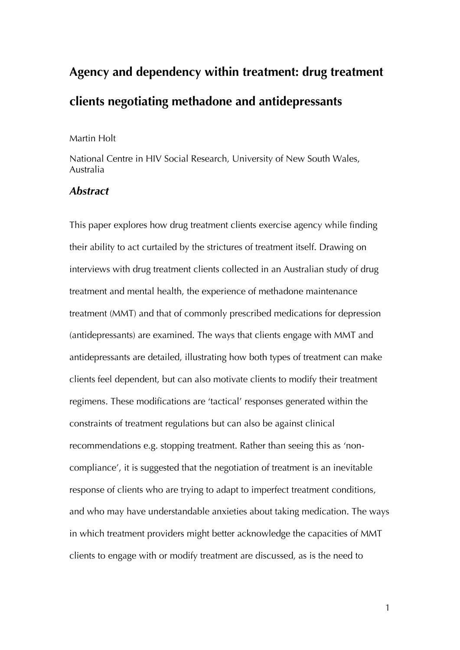# **Agency and dependency within treatment: drug treatment clients negotiating methadone and antidepressants**

#### Martin Holt

National Centre in HIV Social Research, University of New South Wales, Australia

#### *Abstract*

This paper explores how drug treatment clients exercise agency while finding their ability to act curtailed by the strictures of treatment itself. Drawing on interviews with drug treatment clients collected in an Australian study of drug treatment and mental health, the experience of methadone maintenance treatment (MMT) and that of commonly prescribed medications for depression (antidepressants) are examined. The ways that clients engage with MMT and antidepressants are detailed, illustrating how both types of treatment can make clients feel dependent, but can also motivate clients to modify their treatment regimens. These modifications are 'tactical' responses generated within the constraints of treatment regulations but can also be against clinical recommendations e.g. stopping treatment. Rather than seeing this as 'noncompliance', it is suggested that the negotiation of treatment is an inevitable response of clients who are trying to adapt to imperfect treatment conditions, and who may have understandable anxieties about taking medication. The ways in which treatment providers might better acknowledge the capacities of MMT clients to engage with or modify treatment are discussed, as is the need to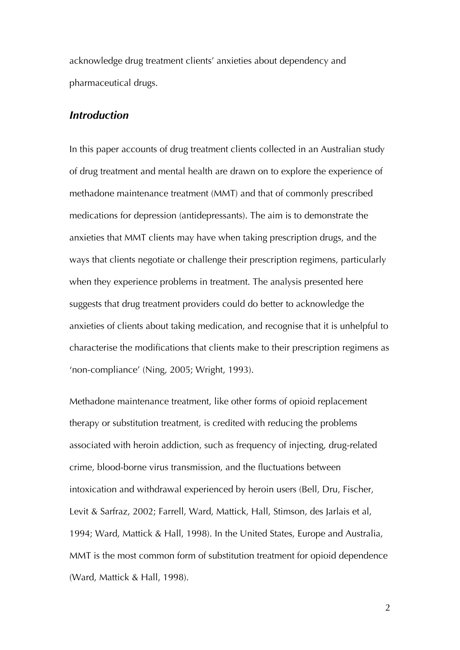acknowledge drug treatment clients' anxieties about dependency and pharmaceutical drugs.

#### *Introduction*

In this paper accounts of drug treatment clients collected in an Australian study of drug treatment and mental health are drawn on to explore the experience of methadone maintenance treatment (MMT) and that of commonly prescribed medications for depression (antidepressants). The aim is to demonstrate the anxieties that MMT clients may have when taking prescription drugs, and the ways that clients negotiate or challenge their prescription regimens, particularly when they experience problems in treatment. The analysis presented here suggests that drug treatment providers could do better to acknowledge the anxieties of clients about taking medication, and recognise that it is unhelpful to characterise the modifications that clients make to their prescription regimens as 'non-compliance' (Ning, 2005; Wright, 1993).

Methadone maintenance treatment, like other forms of opioid replacement therapy or substitution treatment, is credited with reducing the problems associated with heroin addiction, such as frequency of injecting, drug-related crime, blood-borne virus transmission, and the fluctuations between intoxication and withdrawal experienced by heroin users (Bell, Dru, Fischer, Levit & Sarfraz, 2002; Farrell, Ward, Mattick, Hall, Stimson, des Jarlais et al, 1994; Ward, Mattick & Hall, 1998). In the United States, Europe and Australia, MMT is the most common form of substitution treatment for opioid dependence (Ward, Mattick & Hall, 1998).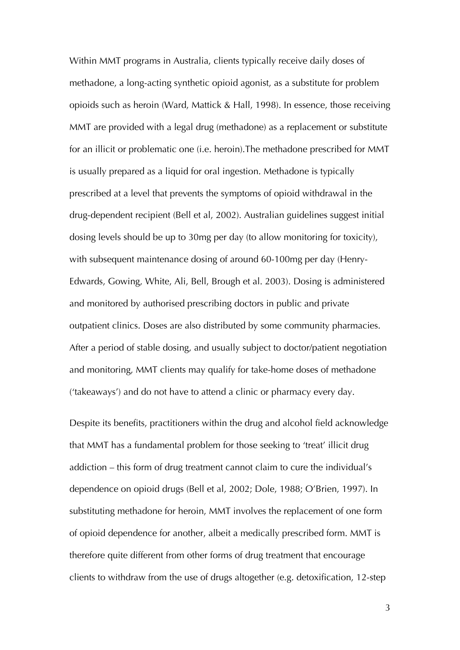Within MMT programs in Australia, clients typically receive daily doses of methadone, a long-acting synthetic opioid agonist, as a substitute for problem opioids such as heroin (Ward, Mattick & Hall, 1998). In essence, those receiving MMT are provided with a legal drug (methadone) as a replacement or substitute for an illicit or problematic one (i.e. heroin).The methadone prescribed for MMT is usually prepared as a liquid for oral ingestion. Methadone is typically prescribed at a level that prevents the symptoms of opioid withdrawal in the drug-dependent recipient (Bell et al, 2002). Australian guidelines suggest initial dosing levels should be up to 30mg per day (to allow monitoring for toxicity), with subsequent maintenance dosing of around 60-100mg per day (Henry-Edwards, Gowing, White, Ali, Bell, Brough et al. 2003). Dosing is administered and monitored by authorised prescribing doctors in public and private outpatient clinics. Doses are also distributed by some community pharmacies. After a period of stable dosing, and usually subject to doctor/patient negotiation and monitoring, MMT clients may qualify for take-home doses of methadone ('takeaways') and do not have to attend a clinic or pharmacy every day.

Despite its benefits, practitioners within the drug and alcohol field acknowledge that MMT has a fundamental problem for those seeking to 'treat' illicit drug addiction – this form of drug treatment cannot claim to cure the individual's dependence on opioid drugs (Bell et al, 2002; Dole, 1988; O'Brien, 1997). In substituting methadone for heroin, MMT involves the replacement of one form of opioid dependence for another, albeit a medically prescribed form. MMT is therefore quite different from other forms of drug treatment that encourage clients to withdraw from the use of drugs altogether (e.g. detoxification, 12-step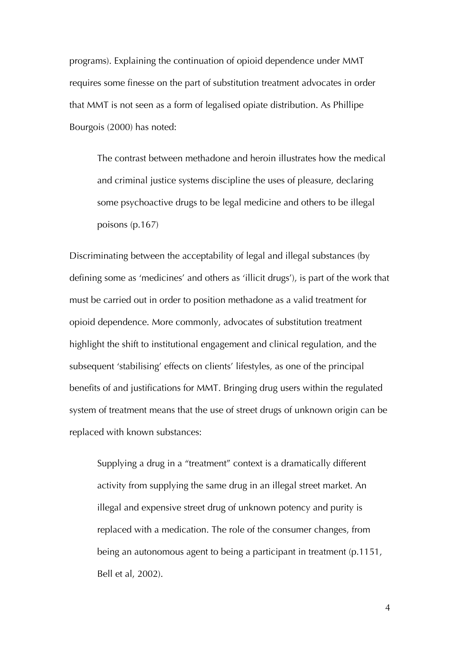programs). Explaining the continuation of opioid dependence under MMT requires some finesse on the part of substitution treatment advocates in order that MMT is not seen as a form of legalised opiate distribution. As Phillipe Bourgois (2000) has noted:

The contrast between methadone and heroin illustrates how the medical and criminal justice systems discipline the uses of pleasure, declaring some psychoactive drugs to be legal medicine and others to be illegal poisons (p.167)

Discriminating between the acceptability of legal and illegal substances (by defining some as 'medicines' and others as 'illicit drugs'), is part of the work that must be carried out in order to position methadone as a valid treatment for opioid dependence. More commonly, advocates of substitution treatment highlight the shift to institutional engagement and clinical regulation, and the subsequent 'stabilising' effects on clients' lifestyles, as one of the principal benefits of and justifications for MMT. Bringing drug users within the regulated system of treatment means that the use of street drugs of unknown origin can be replaced with known substances:

Supplying a drug in a "treatment" context is a dramatically different activity from supplying the same drug in an illegal street market. An illegal and expensive street drug of unknown potency and purity is replaced with a medication. The role of the consumer changes, from being an autonomous agent to being a participant in treatment (p.1151, Bell et al, 2002).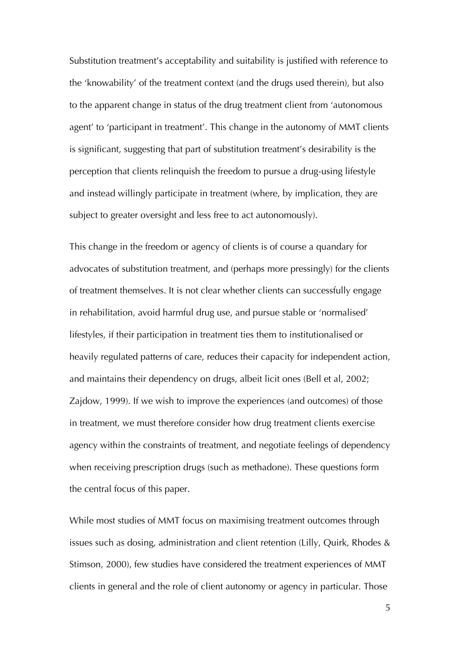Substitution treatment's acceptability and suitability is justified with reference to the 'knowability' of the treatment context (and the drugs used therein), but also to the apparent change in status of the drug treatment client from 'autonomous agent' to 'participant in treatment'. This change in the autonomy of MMT clients is significant, suggesting that part of substitution treatment's desirability is the perception that clients relinquish the freedom to pursue a drug-using lifestyle and instead willingly participate in treatment (where, by implication, they are subject to greater oversight and less free to act autonomously).

This change in the freedom or agency of clients is of course a quandary for advocates of substitution treatment, and (perhaps more pressingly) for the clients of treatment themselves. It is not clear whether clients can successfully engage in rehabilitation, avoid harmful drug use, and pursue stable or 'normalised' lifestyles, if their participation in treatment ties them to institutionalised or heavily regulated patterns of care, reduces their capacity for independent action, and maintains their dependency on drugs, albeit licit ones (Bell et al, 2002; Zajdow, 1999). If we wish to improve the experiences (and outcomes) of those in treatment, we must therefore consider how drug treatment clients exercise agency within the constraints of treatment, and negotiate feelings of dependency when receiving prescription drugs (such as methadone). These questions form the central focus of this paper.

While most studies of MMT focus on maximising treatment outcomes through issues such as dosing, administration and client retention (Lilly, Quirk, Rhodes & Stimson, 2000), few studies have considered the treatment experiences of MMT clients in general and the role of client autonomy or agency in particular. Those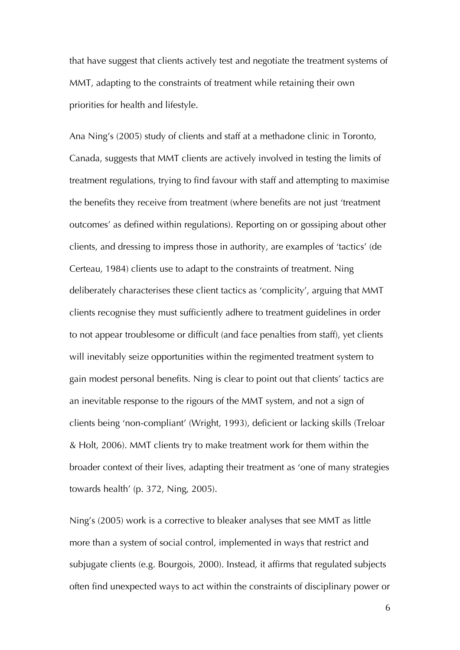that have suggest that clients actively test and negotiate the treatment systems of MMT, adapting to the constraints of treatment while retaining their own priorities for health and lifestyle.

Ana Ning's (2005) study of clients and staff at a methadone clinic in Toronto, Canada, suggests that MMT clients are actively involved in testing the limits of treatment regulations, trying to find favour with staff and attempting to maximise the benefits they receive from treatment (where benefits are not just 'treatment outcomes' as defined within regulations). Reporting on or gossiping about other clients, and dressing to impress those in authority, are examples of 'tactics' (de Certeau, 1984) clients use to adapt to the constraints of treatment. Ning deliberately characterises these client tactics as 'complicity', arguing that MMT clients recognise they must sufficiently adhere to treatment guidelines in order to not appear troublesome or difficult (and face penalties from staff), yet clients will inevitably seize opportunities within the regimented treatment system to gain modest personal benefits. Ning is clear to point out that clients' tactics are an inevitable response to the rigours of the MMT system, and not a sign of clients being 'non-compliant' (Wright, 1993), deficient or lacking skills (Treloar & Holt, 2006). MMT clients try to make treatment work for them within the broader context of their lives, adapting their treatment as 'one of many strategies towards health' (p. 372, Ning, 2005).

Ning's (2005) work is a corrective to bleaker analyses that see MMT as little more than a system of social control, implemented in ways that restrict and subjugate clients (e.g. Bourgois, 2000). Instead, it affirms that regulated subjects often find unexpected ways to act within the constraints of disciplinary power or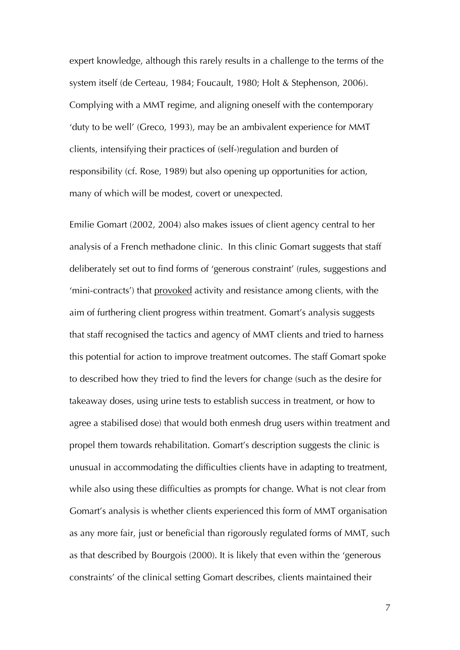expert knowledge, although this rarely results in a challenge to the terms of the system itself (de Certeau, 1984; Foucault, 1980; Holt & Stephenson, 2006). Complying with a MMT regime, and aligning oneself with the contemporary 'duty to be well' (Greco, 1993), may be an ambivalent experience for MMT clients, intensifying their practices of (self-)regulation and burden of responsibility (cf. Rose, 1989) but also opening up opportunities for action, many of which will be modest, covert or unexpected.

Emilie Gomart (2002, 2004) also makes issues of client agency central to her analysis of a French methadone clinic. In this clinic Gomart suggests that staff deliberately set out to find forms of 'generous constraint' (rules, suggestions and 'mini-contracts') that provoked activity and resistance among clients, with the aim of furthering client progress within treatment. Gomart's analysis suggests that staff recognised the tactics and agency of MMT clients and tried to harness this potential for action to improve treatment outcomes. The staff Gomart spoke to described how they tried to find the levers for change (such as the desire for takeaway doses, using urine tests to establish success in treatment, or how to agree a stabilised dose) that would both enmesh drug users within treatment and propel them towards rehabilitation. Gomart's description suggests the clinic is unusual in accommodating the difficulties clients have in adapting to treatment, while also using these difficulties as prompts for change. What is not clear from Gomart's analysis is whether clients experienced this form of MMT organisation as any more fair, just or beneficial than rigorously regulated forms of MMT, such as that described by Bourgois (2000). It is likely that even within the 'generous constraints' of the clinical setting Gomart describes, clients maintained their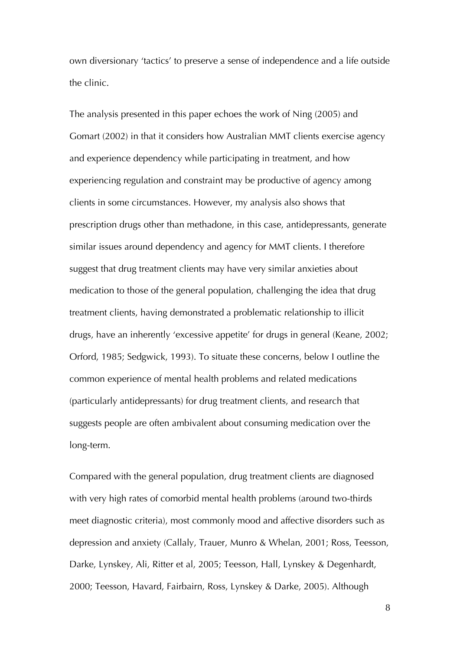own diversionary 'tactics' to preserve a sense of independence and a life outside the clinic.

The analysis presented in this paper echoes the work of Ning (2005) and Gomart (2002) in that it considers how Australian MMT clients exercise agency and experience dependency while participating in treatment, and how experiencing regulation and constraint may be productive of agency among clients in some circumstances. However, my analysis also shows that prescription drugs other than methadone, in this case, antidepressants, generate similar issues around dependency and agency for MMT clients. I therefore suggest that drug treatment clients may have very similar anxieties about medication to those of the general population, challenging the idea that drug treatment clients, having demonstrated a problematic relationship to illicit drugs, have an inherently 'excessive appetite' for drugs in general (Keane, 2002; Orford, 1985; Sedgwick, 1993). To situate these concerns, below I outline the common experience of mental health problems and related medications (particularly antidepressants) for drug treatment clients, and research that suggests people are often ambivalent about consuming medication over the long-term.

Compared with the general population, drug treatment clients are diagnosed with very high rates of comorbid mental health problems (around two-thirds meet diagnostic criteria), most commonly mood and affective disorders such as depression and anxiety (Callaly, Trauer, Munro & Whelan, 2001; Ross, Teesson, Darke, Lynskey, Ali, Ritter et al, 2005; Teesson, Hall, Lynskey & Degenhardt, 2000; Teesson, Havard, Fairbairn, Ross, Lynskey & Darke, 2005). Although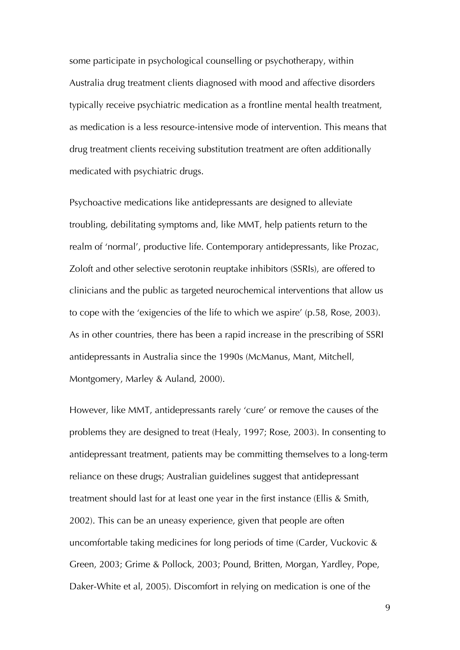some participate in psychological counselling or psychotherapy, within Australia drug treatment clients diagnosed with mood and affective disorders typically receive psychiatric medication as a frontline mental health treatment, as medication is a less resource-intensive mode of intervention. This means that drug treatment clients receiving substitution treatment are often additionally medicated with psychiatric drugs.

Psychoactive medications like antidepressants are designed to alleviate troubling, debilitating symptoms and, like MMT, help patients return to the realm of 'normal', productive life. Contemporary antidepressants, like Prozac, Zoloft and other selective serotonin reuptake inhibitors (SSRIs), are offered to clinicians and the public as targeted neurochemical interventions that allow us to cope with the 'exigencies of the life to which we aspire' (p.58, Rose, 2003). As in other countries, there has been a rapid increase in the prescribing of SSRI antidepressants in Australia since the 1990s (McManus, Mant, Mitchell, Montgomery, Marley & Auland, 2000).

However, like MMT, antidepressants rarely 'cure' or remove the causes of the problems they are designed to treat (Healy, 1997; Rose, 2003). In consenting to antidepressant treatment, patients may be committing themselves to a long-term reliance on these drugs; Australian guidelines suggest that antidepressant treatment should last for at least one year in the first instance (Ellis & Smith, 2002). This can be an uneasy experience, given that people are often uncomfortable taking medicines for long periods of time (Carder, Vuckovic & Green, 2003; Grime & Pollock, 2003; Pound, Britten, Morgan, Yardley, Pope, Daker-White et al, 2005). Discomfort in relying on medication is one of the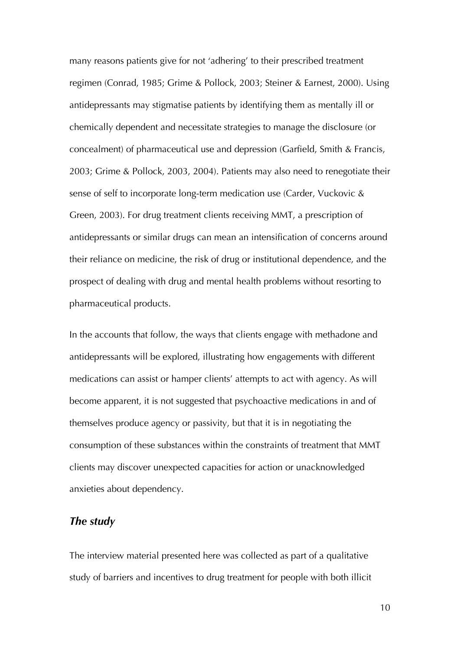many reasons patients give for not 'adhering' to their prescribed treatment regimen (Conrad, 1985; Grime & Pollock, 2003; Steiner & Earnest, 2000). Using antidepressants may stigmatise patients by identifying them as mentally ill or chemically dependent and necessitate strategies to manage the disclosure (or concealment) of pharmaceutical use and depression (Garfield, Smith & Francis, 2003; Grime & Pollock, 2003, 2004). Patients may also need to renegotiate their sense of self to incorporate long-term medication use (Carder, Vuckovic & Green, 2003). For drug treatment clients receiving MMT, a prescription of antidepressants or similar drugs can mean an intensification of concerns around their reliance on medicine, the risk of drug or institutional dependence, and the prospect of dealing with drug and mental health problems without resorting to pharmaceutical products.

In the accounts that follow, the ways that clients engage with methadone and antidepressants will be explored, illustrating how engagements with different medications can assist or hamper clients' attempts to act with agency. As will become apparent, it is not suggested that psychoactive medications in and of themselves produce agency or passivity, but that it is in negotiating the consumption of these substances within the constraints of treatment that MMT clients may discover unexpected capacities for action or unacknowledged anxieties about dependency.

#### *The study*

The interview material presented here was collected as part of a qualitative study of barriers and incentives to drug treatment for people with both illicit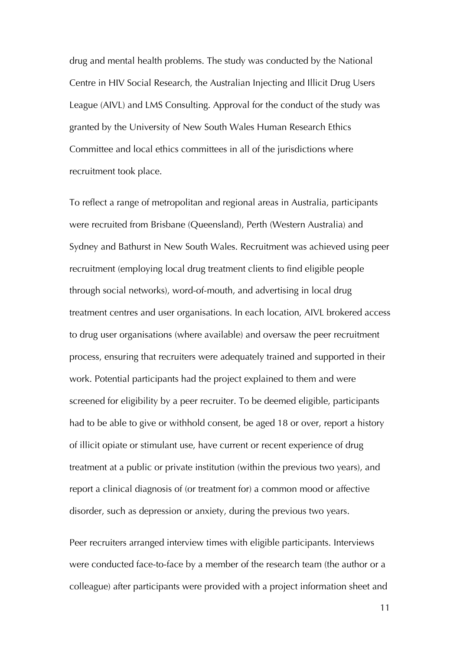drug and mental health problems. The study was conducted by the National Centre in HIV Social Research, the Australian Injecting and Illicit Drug Users League (AIVL) and LMS Consulting. Approval for the conduct of the study was granted by the University of New South Wales Human Research Ethics Committee and local ethics committees in all of the jurisdictions where recruitment took place.

To reflect a range of metropolitan and regional areas in Australia, participants were recruited from Brisbane (Queensland), Perth (Western Australia) and Sydney and Bathurst in New South Wales. Recruitment was achieved using peer recruitment (employing local drug treatment clients to find eligible people through social networks), word-of-mouth, and advertising in local drug treatment centres and user organisations. In each location, AIVL brokered access to drug user organisations (where available) and oversaw the peer recruitment process, ensuring that recruiters were adequately trained and supported in their work. Potential participants had the project explained to them and were screened for eligibility by a peer recruiter. To be deemed eligible, participants had to be able to give or withhold consent, be aged 18 or over, report a history of illicit opiate or stimulant use, have current or recent experience of drug treatment at a public or private institution (within the previous two years), and report a clinical diagnosis of (or treatment for) a common mood or affective disorder, such as depression or anxiety, during the previous two years.

Peer recruiters arranged interview times with eligible participants. Interviews were conducted face-to-face by a member of the research team (the author or a colleague) after participants were provided with a project information sheet and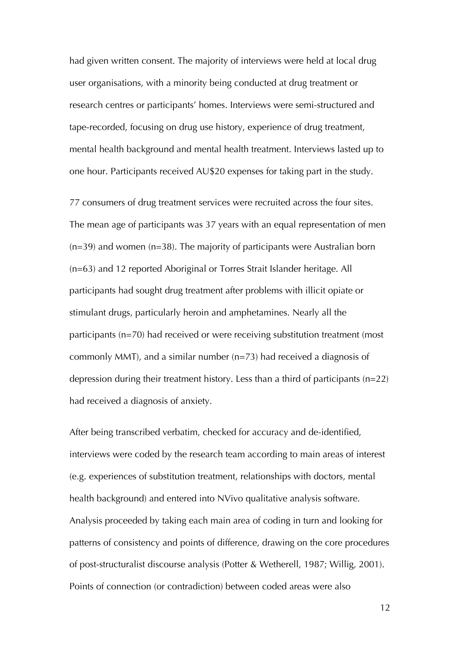had given written consent. The majority of interviews were held at local drug user organisations, with a minority being conducted at drug treatment or research centres or participants' homes. Interviews were semi-structured and tape-recorded, focusing on drug use history, experience of drug treatment, mental health background and mental health treatment. Interviews lasted up to one hour. Participants received AU\$20 expenses for taking part in the study.

77 consumers of drug treatment services were recruited across the four sites. The mean age of participants was 37 years with an equal representation of men  $(n=39)$  and women  $(n=38)$ . The majority of participants were Australian born (n=63) and 12 reported Aboriginal or Torres Strait Islander heritage. All participants had sought drug treatment after problems with illicit opiate or stimulant drugs, particularly heroin and amphetamines. Nearly all the participants (n=70) had received or were receiving substitution treatment (most commonly MMT), and a similar number (n=73) had received a diagnosis of depression during their treatment history. Less than a third of participants (n=22) had received a diagnosis of anxiety.

After being transcribed verbatim, checked for accuracy and de-identified, interviews were coded by the research team according to main areas of interest (e.g. experiences of substitution treatment, relationships with doctors, mental health background) and entered into NVivo qualitative analysis software. Analysis proceeded by taking each main area of coding in turn and looking for patterns of consistency and points of difference, drawing on the core procedures of post-structuralist discourse analysis (Potter & Wetherell, 1987; Willig, 2001). Points of connection (or contradiction) between coded areas were also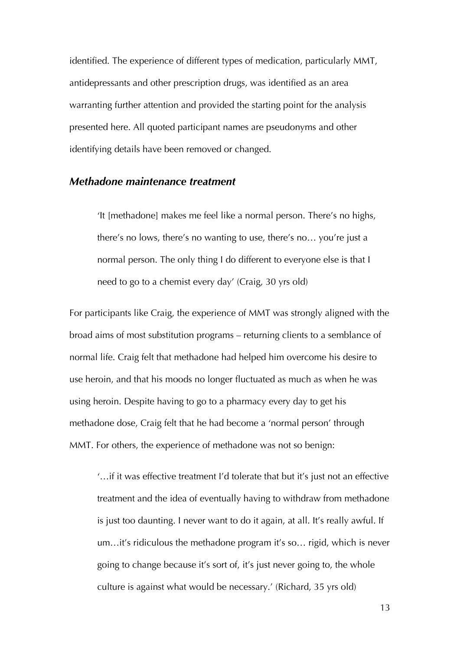identified. The experience of different types of medication, particularly MMT, antidepressants and other prescription drugs, was identified as an area warranting further attention and provided the starting point for the analysis presented here. All quoted participant names are pseudonyms and other identifying details have been removed or changed.

#### *Methadone maintenance treatment*

'It [methadone] makes me feel like a normal person. There's no highs, there's no lows, there's no wanting to use, there's no… you're just a normal person. The only thing I do different to everyone else is that I need to go to a chemist every day' (Craig, 30 yrs old)

For participants like Craig, the experience of MMT was strongly aligned with the broad aims of most substitution programs – returning clients to a semblance of normal life. Craig felt that methadone had helped him overcome his desire to use heroin, and that his moods no longer fluctuated as much as when he was using heroin. Despite having to go to a pharmacy every day to get his methadone dose, Craig felt that he had become a 'normal person' through MMT. For others, the experience of methadone was not so benign:

'…if it was effective treatment I'd tolerate that but it's just not an effective treatment and the idea of eventually having to withdraw from methadone is just too daunting. I never want to do it again, at all. It's really awful. If um…it's ridiculous the methadone program it's so… rigid, which is never going to change because it's sort of, it's just never going to, the whole culture is against what would be necessary.' (Richard, 35 yrs old)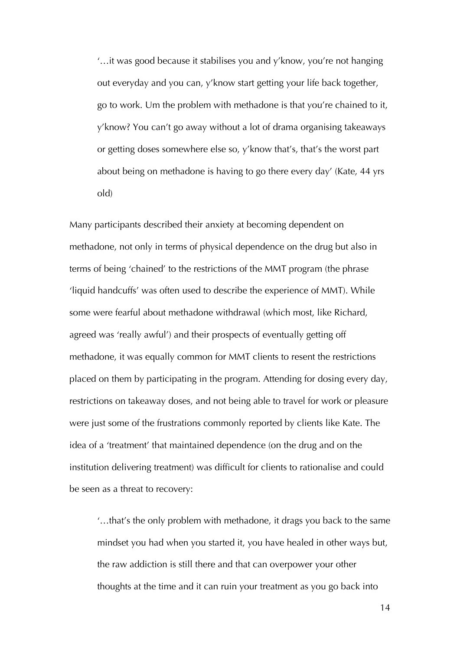'…it was good because it stabilises you and y'know, you're not hanging out everyday and you can, y'know start getting your life back together, go to work. Um the problem with methadone is that you're chained to it, y'know? You can't go away without a lot of drama organising takeaways or getting doses somewhere else so, y'know that's, that's the worst part about being on methadone is having to go there every day' (Kate, 44 yrs old)

Many participants described their anxiety at becoming dependent on methadone, not only in terms of physical dependence on the drug but also in terms of being 'chained' to the restrictions of the MMT program (the phrase 'liquid handcuffs' was often used to describe the experience of MMT). While some were fearful about methadone withdrawal (which most, like Richard, agreed was 'really awful') and their prospects of eventually getting off methadone, it was equally common for MMT clients to resent the restrictions placed on them by participating in the program. Attending for dosing every day, restrictions on takeaway doses, and not being able to travel for work or pleasure were just some of the frustrations commonly reported by clients like Kate. The idea of a 'treatment' that maintained dependence (on the drug and on the institution delivering treatment) was difficult for clients to rationalise and could be seen as a threat to recovery:

'…that's the only problem with methadone, it drags you back to the same mindset you had when you started it, you have healed in other ways but, the raw addiction is still there and that can overpower your other thoughts at the time and it can ruin your treatment as you go back into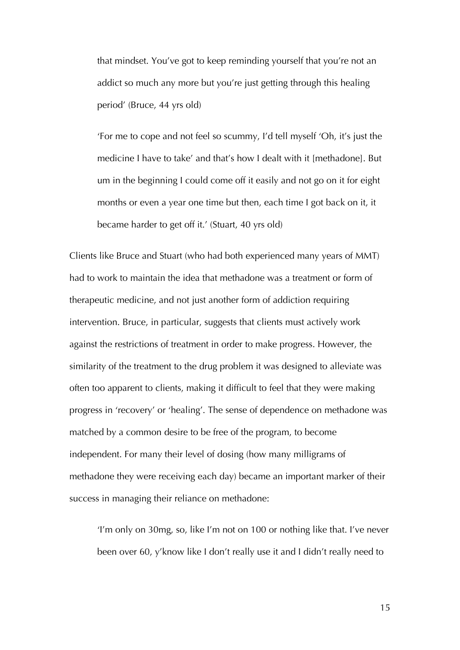that mindset. You've got to keep reminding yourself that you're not an addict so much any more but you're just getting through this healing period' (Bruce, 44 yrs old)

'For me to cope and not feel so scummy, I'd tell myself 'Oh, it's just the medicine I have to take' and that's how I dealt with it [methadone]. But um in the beginning I could come off it easily and not go on it for eight months or even a year one time but then, each time I got back on it, it became harder to get off it.' (Stuart, 40 yrs old)

Clients like Bruce and Stuart (who had both experienced many years of MMT) had to work to maintain the idea that methadone was a treatment or form of therapeutic medicine, and not just another form of addiction requiring intervention. Bruce, in particular, suggests that clients must actively work against the restrictions of treatment in order to make progress. However, the similarity of the treatment to the drug problem it was designed to alleviate was often too apparent to clients, making it difficult to feel that they were making progress in 'recovery' or 'healing'. The sense of dependence on methadone was matched by a common desire to be free of the program, to become independent. For many their level of dosing (how many milligrams of methadone they were receiving each day) became an important marker of their success in managing their reliance on methadone:

'I'm only on 30mg, so, like I'm not on 100 or nothing like that. I've never been over 60, y'know like I don't really use it and I didn't really need to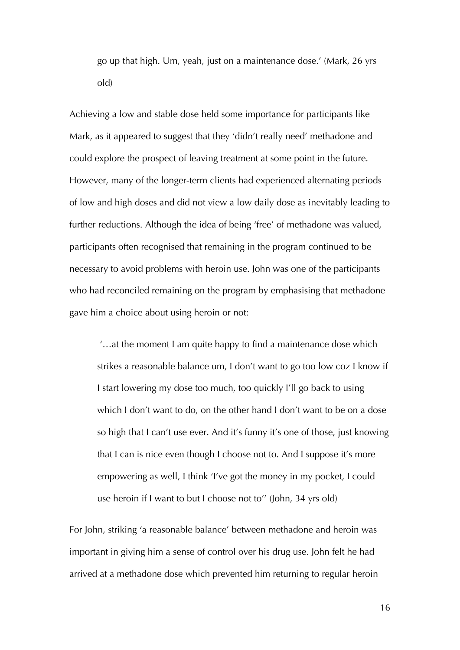go up that high. Um, yeah, just on a maintenance dose.' (Mark, 26 yrs old)

Achieving a low and stable dose held some importance for participants like Mark, as it appeared to suggest that they 'didn't really need' methadone and could explore the prospect of leaving treatment at some point in the future. However, many of the longer-term clients had experienced alternating periods of low and high doses and did not view a low daily dose as inevitably leading to further reductions. Although the idea of being 'free' of methadone was valued, participants often recognised that remaining in the program continued to be necessary to avoid problems with heroin use. John was one of the participants who had reconciled remaining on the program by emphasising that methadone gave him a choice about using heroin or not:

 '…at the moment I am quite happy to find a maintenance dose which strikes a reasonable balance um, I don't want to go too low coz I know if I start lowering my dose too much, too quickly I'll go back to using which I don't want to do, on the other hand I don't want to be on a dose so high that I can't use ever. And it's funny it's one of those, just knowing that I can is nice even though I choose not to. And I suppose it's more empowering as well, I think 'I've got the money in my pocket, I could use heroin if I want to but I choose not to'' (John, 34 yrs old)

For John, striking 'a reasonable balance' between methadone and heroin was important in giving him a sense of control over his drug use. John felt he had arrived at a methadone dose which prevented him returning to regular heroin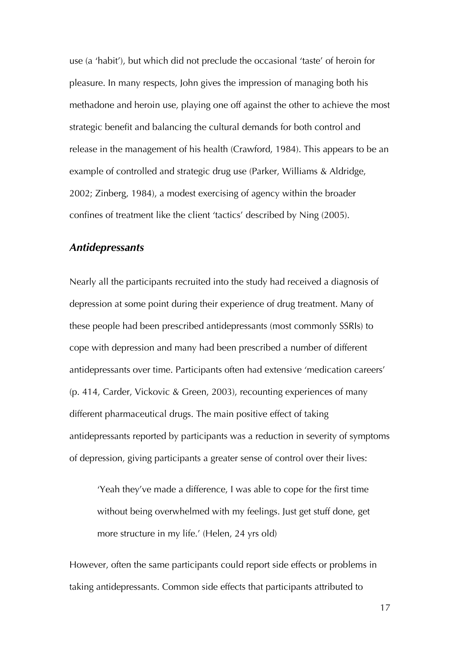use (a 'habit'), but which did not preclude the occasional 'taste' of heroin for pleasure. In many respects, John gives the impression of managing both his methadone and heroin use, playing one off against the other to achieve the most strategic benefit and balancing the cultural demands for both control and release in the management of his health (Crawford, 1984). This appears to be an example of controlled and strategic drug use (Parker, Williams & Aldridge, 2002; Zinberg, 1984), a modest exercising of agency within the broader confines of treatment like the client 'tactics' described by Ning (2005).

#### *Antidepressants*

Nearly all the participants recruited into the study had received a diagnosis of depression at some point during their experience of drug treatment. Many of these people had been prescribed antidepressants (most commonly SSRIs) to cope with depression and many had been prescribed a number of different antidepressants over time. Participants often had extensive 'medication careers' (p. 414, Carder, Vickovic & Green, 2003), recounting experiences of many different pharmaceutical drugs. The main positive effect of taking antidepressants reported by participants was a reduction in severity of symptoms of depression, giving participants a greater sense of control over their lives:

'Yeah they've made a difference, I was able to cope for the first time without being overwhelmed with my feelings. Just get stuff done, get more structure in my life.' (Helen, 24 yrs old)

However, often the same participants could report side effects or problems in taking antidepressants. Common side effects that participants attributed to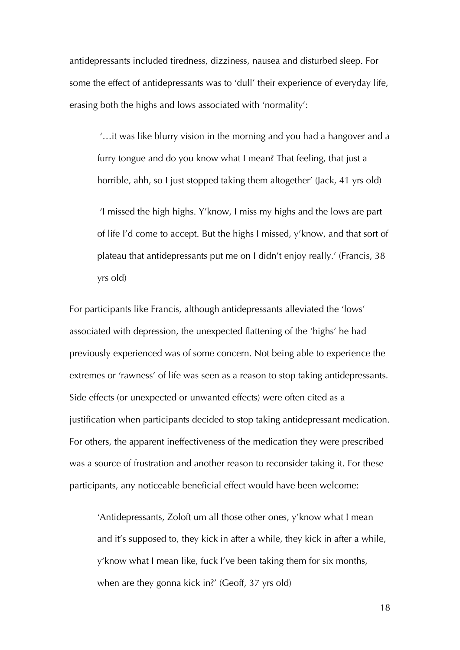antidepressants included tiredness, dizziness, nausea and disturbed sleep. For some the effect of antidepressants was to 'dull' their experience of everyday life, erasing both the highs and lows associated with 'normality':

 '…it was like blurry vision in the morning and you had a hangover and a furry tongue and do you know what I mean? That feeling, that just a horrible, ahh, so I just stopped taking them altogether' (Jack, 41 yrs old)

 'I missed the high highs. Y'know, I miss my highs and the lows are part of life I'd come to accept. But the highs I missed, y'know, and that sort of plateau that antidepressants put me on I didn't enjoy really.' (Francis, 38 yrs old)

For participants like Francis, although antidepressants alleviated the 'lows' associated with depression, the unexpected flattening of the 'highs' he had previously experienced was of some concern. Not being able to experience the extremes or 'rawness' of life was seen as a reason to stop taking antidepressants. Side effects (or unexpected or unwanted effects) were often cited as a justification when participants decided to stop taking antidepressant medication. For others, the apparent ineffectiveness of the medication they were prescribed was a source of frustration and another reason to reconsider taking it. For these participants, any noticeable beneficial effect would have been welcome:

'Antidepressants, Zoloft um all those other ones, y'know what I mean and it's supposed to, they kick in after a while, they kick in after a while, y'know what I mean like, fuck I've been taking them for six months, when are they gonna kick in?' (Geoff, 37 yrs old)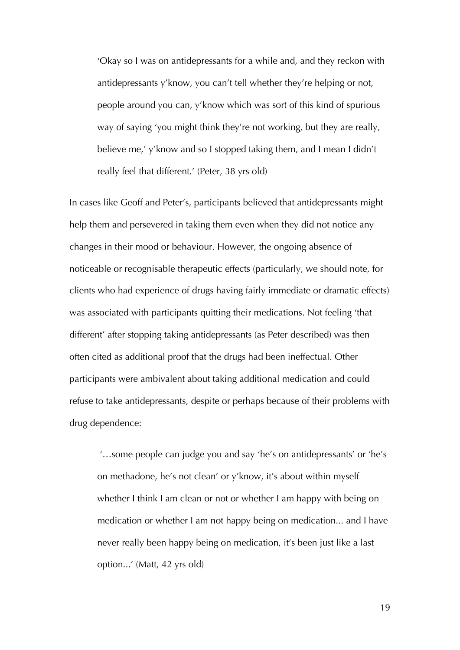'Okay so I was on antidepressants for a while and, and they reckon with antidepressants y'know, you can't tell whether they're helping or not, people around you can, y'know which was sort of this kind of spurious way of saying 'you might think they're not working, but they are really, believe me,' y'know and so I stopped taking them, and I mean I didn't really feel that different.' (Peter, 38 yrs old)

In cases like Geoff and Peter's, participants believed that antidepressants might help them and persevered in taking them even when they did not notice any changes in their mood or behaviour. However, the ongoing absence of noticeable or recognisable therapeutic effects (particularly, we should note, for clients who had experience of drugs having fairly immediate or dramatic effects) was associated with participants quitting their medications. Not feeling 'that different' after stopping taking antidepressants (as Peter described) was then often cited as additional proof that the drugs had been ineffectual. Other participants were ambivalent about taking additional medication and could refuse to take antidepressants, despite or perhaps because of their problems with drug dependence:

 '…some people can judge you and say 'he's on antidepressants' or 'he's on methadone, he's not clean' or y'know, it's about within myself whether I think I am clean or not or whether I am happy with being on medication or whether I am not happy being on medication... and I have never really been happy being on medication, it's been just like a last option...' (Matt, 42 yrs old)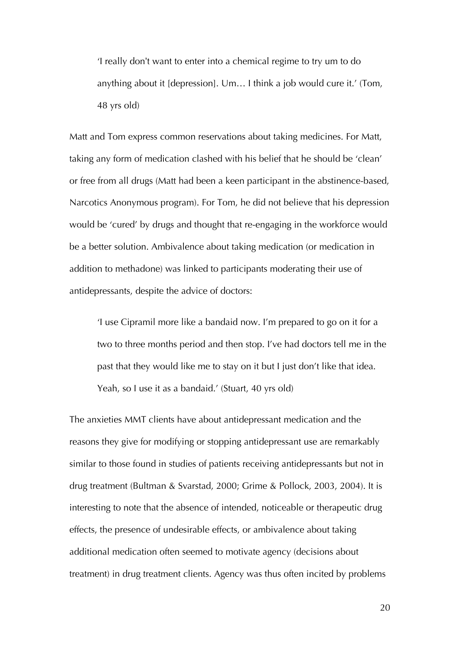'I really don't want to enter into a chemical regime to try um to do anything about it [depression]. Um… I think a job would cure it.' (Tom, 48 yrs old)

Matt and Tom express common reservations about taking medicines. For Matt, taking any form of medication clashed with his belief that he should be 'clean' or free from all drugs (Matt had been a keen participant in the abstinence-based, Narcotics Anonymous program). For Tom, he did not believe that his depression would be 'cured' by drugs and thought that re-engaging in the workforce would be a better solution. Ambivalence about taking medication (or medication in addition to methadone) was linked to participants moderating their use of antidepressants, despite the advice of doctors:

'I use Cipramil more like a bandaid now. I'm prepared to go on it for a two to three months period and then stop. I've had doctors tell me in the past that they would like me to stay on it but I just don't like that idea. Yeah, so I use it as a bandaid.' (Stuart, 40 yrs old)

The anxieties MMT clients have about antidepressant medication and the reasons they give for modifying or stopping antidepressant use are remarkably similar to those found in studies of patients receiving antidepressants but not in drug treatment (Bultman & Svarstad, 2000; Grime & Pollock, 2003, 2004). It is interesting to note that the absence of intended, noticeable or therapeutic drug effects, the presence of undesirable effects, or ambivalence about taking additional medication often seemed to motivate agency (decisions about treatment) in drug treatment clients. Agency was thus often incited by problems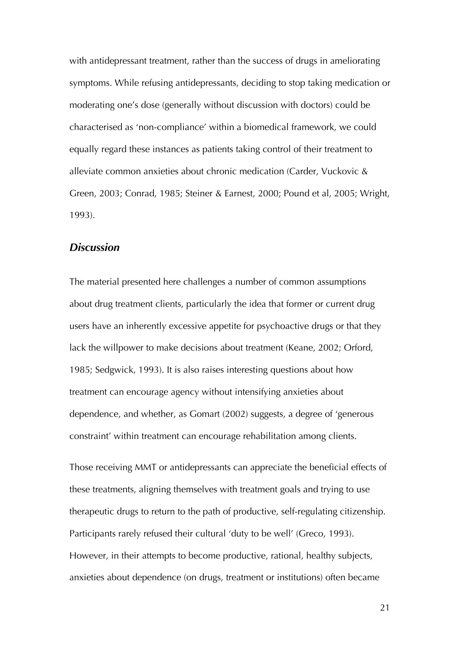with antidepressant treatment, rather than the success of drugs in ameliorating symptoms. While refusing antidepressants, deciding to stop taking medication or moderating one's dose (generally without discussion with doctors) could be characterised as 'non-compliance' within a biomedical framework, we could equally regard these instances as patients taking control of their treatment to alleviate common anxieties about chronic medication (Carder, Vuckovic & Green, 2003; Conrad, 1985; Steiner & Earnest, 2000; Pound et al, 2005; Wright, 1993).

#### *Discussion*

The material presented here challenges a number of common assumptions about drug treatment clients, particularly the idea that former or current drug users have an inherently excessive appetite for psychoactive drugs or that they lack the willpower to make decisions about treatment (Keane, 2002; Orford, 1985; Sedgwick, 1993). It is also raises interesting questions about how treatment can encourage agency without intensifying anxieties about dependence, and whether, as Gomart (2002) suggests, a degree of 'generous constraint' within treatment can encourage rehabilitation among clients.

Those receiving MMT or antidepressants can appreciate the beneficial effects of these treatments, aligning themselves with treatment goals and trying to use therapeutic drugs to return to the path of productive, self-regulating citizenship. Participants rarely refused their cultural 'duty to be well' (Greco, 1993). However, in their attempts to become productive, rational, healthy subjects, anxieties about dependence (on drugs, treatment or institutions) often became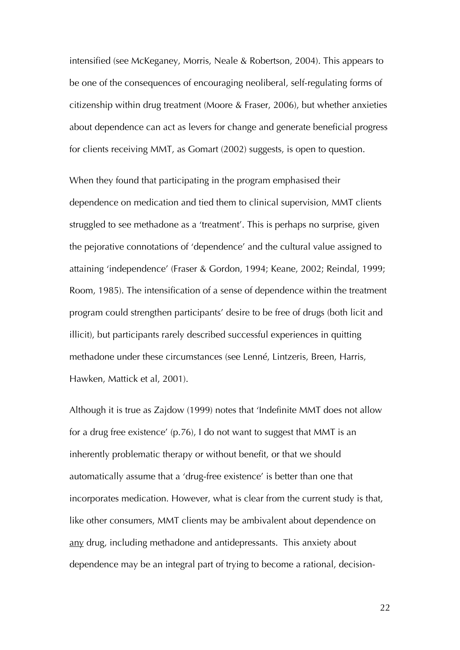intensified (see McKeganey, Morris, Neale & Robertson, 2004). This appears to be one of the consequences of encouraging neoliberal, self-regulating forms of citizenship within drug treatment (Moore & Fraser, 2006), but whether anxieties about dependence can act as levers for change and generate beneficial progress for clients receiving MMT, as Gomart (2002) suggests, is open to question.

When they found that participating in the program emphasised their dependence on medication and tied them to clinical supervision, MMT clients struggled to see methadone as a 'treatment'. This is perhaps no surprise, given the pejorative connotations of 'dependence' and the cultural value assigned to attaining 'independence' (Fraser & Gordon, 1994; Keane, 2002; Reindal, 1999; Room, 1985). The intensification of a sense of dependence within the treatment program could strengthen participants' desire to be free of drugs (both licit and illicit), but participants rarely described successful experiences in quitting methadone under these circumstances (see Lenné, Lintzeris, Breen, Harris, Hawken, Mattick et al, 2001).

Although it is true as Zajdow (1999) notes that 'Indefinite MMT does not allow for a drug free existence' (p.76), I do not want to suggest that MMT is an inherently problematic therapy or without benefit, or that we should automatically assume that a 'drug-free existence' is better than one that incorporates medication. However, what is clear from the current study is that, like other consumers, MMT clients may be ambivalent about dependence on any drug, including methadone and antidepressants. This anxiety about dependence may be an integral part of trying to become a rational, decision-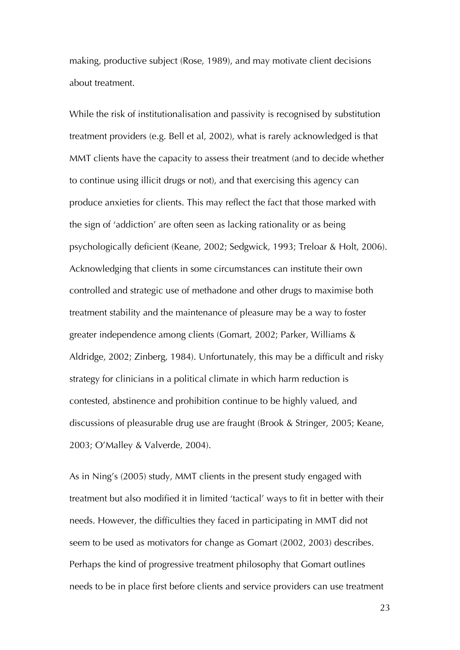making, productive subject (Rose, 1989), and may motivate client decisions about treatment.

While the risk of institutionalisation and passivity is recognised by substitution treatment providers (e.g. Bell et al, 2002), what is rarely acknowledged is that MMT clients have the capacity to assess their treatment (and to decide whether to continue using illicit drugs or not), and that exercising this agency can produce anxieties for clients. This may reflect the fact that those marked with the sign of 'addiction' are often seen as lacking rationality or as being psychologically deficient (Keane, 2002; Sedgwick, 1993; Treloar & Holt, 2006). Acknowledging that clients in some circumstances can institute their own controlled and strategic use of methadone and other drugs to maximise both treatment stability and the maintenance of pleasure may be a way to foster greater independence among clients (Gomart, 2002; Parker, Williams & Aldridge, 2002; Zinberg, 1984). Unfortunately, this may be a difficult and risky strategy for clinicians in a political climate in which harm reduction is contested, abstinence and prohibition continue to be highly valued, and discussions of pleasurable drug use are fraught (Brook & Stringer, 2005; Keane, 2003; O'Malley & Valverde, 2004).

As in Ning's (2005) study, MMT clients in the present study engaged with treatment but also modified it in limited 'tactical' ways to fit in better with their needs. However, the difficulties they faced in participating in MMT did not seem to be used as motivators for change as Gomart (2002, 2003) describes. Perhaps the kind of progressive treatment philosophy that Gomart outlines needs to be in place first before clients and service providers can use treatment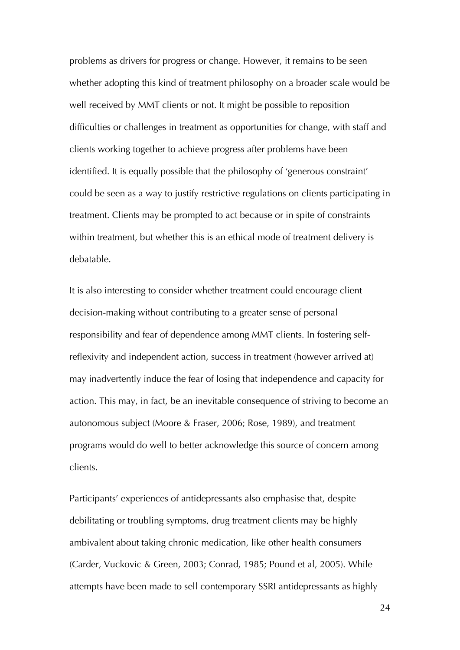problems as drivers for progress or change. However, it remains to be seen whether adopting this kind of treatment philosophy on a broader scale would be well received by MMT clients or not. It might be possible to reposition difficulties or challenges in treatment as opportunities for change, with staff and clients working together to achieve progress after problems have been identified. It is equally possible that the philosophy of 'generous constraint' could be seen as a way to justify restrictive regulations on clients participating in treatment. Clients may be prompted to act because or in spite of constraints within treatment, but whether this is an ethical mode of treatment delivery is debatable.

It is also interesting to consider whether treatment could encourage client decision-making without contributing to a greater sense of personal responsibility and fear of dependence among MMT clients. In fostering selfreflexivity and independent action, success in treatment (however arrived at) may inadvertently induce the fear of losing that independence and capacity for action. This may, in fact, be an inevitable consequence of striving to become an autonomous subject (Moore & Fraser, 2006; Rose, 1989), and treatment programs would do well to better acknowledge this source of concern among clients.

Participants' experiences of antidepressants also emphasise that, despite debilitating or troubling symptoms, drug treatment clients may be highly ambivalent about taking chronic medication, like other health consumers (Carder, Vuckovic & Green, 2003; Conrad, 1985; Pound et al, 2005). While attempts have been made to sell contemporary SSRI antidepressants as highly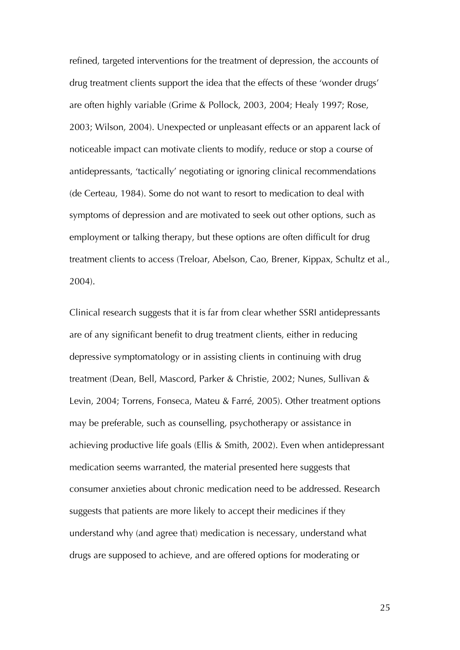refined, targeted interventions for the treatment of depression, the accounts of drug treatment clients support the idea that the effects of these 'wonder drugs' are often highly variable (Grime & Pollock, 2003, 2004; Healy 1997; Rose, 2003; Wilson, 2004). Unexpected or unpleasant effects or an apparent lack of noticeable impact can motivate clients to modify, reduce or stop a course of antidepressants, 'tactically' negotiating or ignoring clinical recommendations (de Certeau, 1984). Some do not want to resort to medication to deal with symptoms of depression and are motivated to seek out other options, such as employment or talking therapy, but these options are often difficult for drug treatment clients to access (Treloar, Abelson, Cao, Brener, Kippax, Schultz et al., 2004).

Clinical research suggests that it is far from clear whether SSRI antidepressants are of any significant benefit to drug treatment clients, either in reducing depressive symptomatology or in assisting clients in continuing with drug treatment (Dean, Bell, Mascord, Parker & Christie, 2002; Nunes, Sullivan & Levin, 2004; Torrens, Fonseca, Mateu & Farré, 2005). Other treatment options may be preferable, such as counselling, psychotherapy or assistance in achieving productive life goals (Ellis & Smith, 2002). Even when antidepressant medication seems warranted, the material presented here suggests that consumer anxieties about chronic medication need to be addressed. Research suggests that patients are more likely to accept their medicines if they understand why (and agree that) medication is necessary, understand what drugs are supposed to achieve, and are offered options for moderating or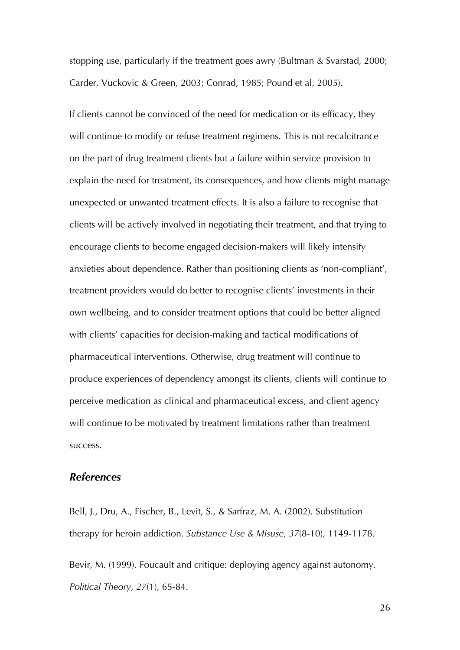stopping use, particularly if the treatment goes awry (Bultman & Svarstad, 2000; Carder, Vuckovic & Green, 2003; Conrad, 1985; Pound et al, 2005).

If clients cannot be convinced of the need for medication or its efficacy, they will continue to modify or refuse treatment regimens. This is not recalcitrance on the part of drug treatment clients but a failure within service provision to explain the need for treatment, its consequences, and how clients might manage unexpected or unwanted treatment effects. It is also a failure to recognise that clients will be actively involved in negotiating their treatment, and that trying to encourage clients to become engaged decision-makers will likely intensify anxieties about dependence. Rather than positioning clients as 'non-compliant', treatment providers would do better to recognise clients' investments in their own wellbeing, and to consider treatment options that could be better aligned with clients' capacities for decision-making and tactical modifications of pharmaceutical interventions. Otherwise, drug treatment will continue to produce experiences of dependency amongst its clients, clients will continue to perceive medication as clinical and pharmaceutical excess, and client agency will continue to be motivated by treatment limitations rather than treatment success.

#### *References*

Bell, J., Dru, A., Fischer, B., Levit, S., & Sarfraz, M. A. (2002). Substitution therapy for heroin addiction. *Substance Use & Misuse, 37*(8-10), 1149-1178.

Bevir, M. (1999). Foucault and critique: deploying agency against autonomy. *Political Theory, 27*(1), 65-84.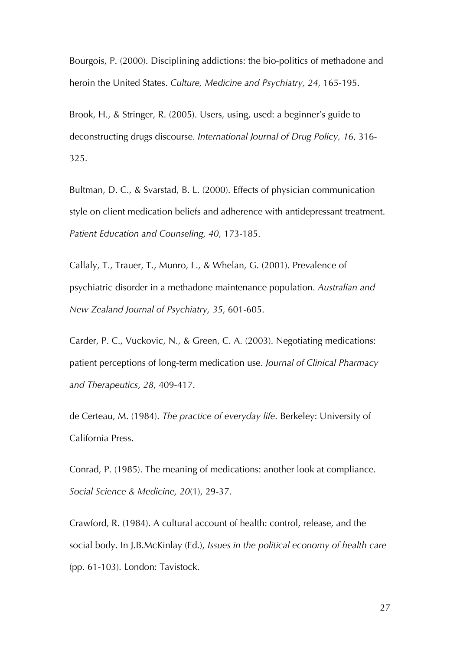Bourgois, P. (2000). Disciplining addictions: the bio-politics of methadone and heroin the United States. *Culture, Medicine and Psychiatry, 24*, 165-195.

Brook, H., & Stringer, R. (2005). Users, using, used: a beginner's guide to deconstructing drugs discourse. *International Journal of Drug Policy, 16*, 316- 325.

Bultman, D. C., & Svarstad, B. L. (2000). Effects of physician communication style on client medication beliefs and adherence with antidepressant treatment. *Patient Education and Counseling, 40*, 173-185.

Callaly, T., Trauer, T., Munro, L., & Whelan, G. (2001). Prevalence of psychiatric disorder in a methadone maintenance population. *Australian and New Zealand Journal of Psychiatry, 35*, 601-605.

Carder, P. C., Vuckovic, N., & Green, C. A. (2003). Negotiating medications: patient perceptions of long-term medication use. *Journal of Clinical Pharmacy and Therapeutics, 28*, 409-417.

de Certeau, M. (1984). *The practice of everyday life*. Berkeley: University of California Press.

Conrad, P. (1985). The meaning of medications: another look at compliance. *Social Science & Medicine, 20*(1), 29-37.

Crawford, R. (1984). A cultural account of health: control, release, and the social body. In J.B.McKinlay (Ed.), *Issues in the political economy of health care* (pp. 61-103). London: Tavistock.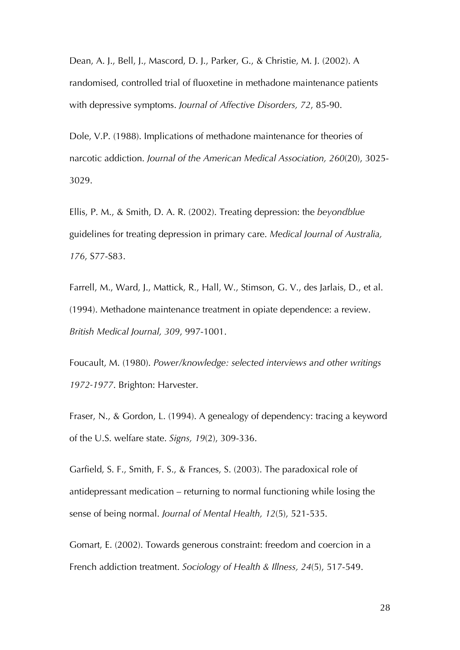Dean, A. J., Bell, J., Mascord, D. J., Parker, G., & Christie, M. J. (2002). A randomised, controlled trial of fluoxetine in methadone maintenance patients with depressive symptoms. *Journal of Affective Disorders, 72*, 85-90.

Dole, V.P. (1988). Implications of methadone maintenance for theories of narcotic addiction. *Journal of the American Medical Association, 260*(20), 3025- 3029.

Ellis, P. M., & Smith, D. A. R. (2002). Treating depression: the *beyondblue* guidelines for treating depression in primary care. *Medical Journal of Australia, 176*, S77-S83.

Farrell, M., Ward, J., Mattick, R., Hall, W., Stimson, G. V., des Jarlais, D., et al. (1994). Methadone maintenance treatment in opiate dependence: a review. *British Medical Journal, 309*, 997-1001.

Foucault, M. (1980). *Power/knowledge: selected interviews and other writings 1972-1977*. Brighton: Harvester.

Fraser, N., & Gordon, L. (1994). A genealogy of dependency: tracing a keyword of the U.S. welfare state. *Signs, 19*(2), 309-336.

Garfield, S. F., Smith, F. S., & Frances, S. (2003). The paradoxical role of antidepressant medication – returning to normal functioning while losing the sense of being normal. *Journal of Mental Health, 12*(5), 521-535.

Gomart, E. (2002). Towards generous constraint: freedom and coercion in a French addiction treatment. *Sociology of Health & Illness, 24*(5), 517-549.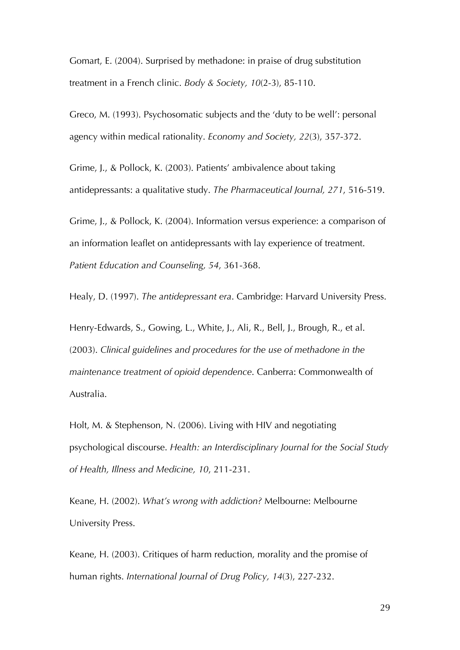Gomart, E. (2004). Surprised by methadone: in praise of drug substitution treatment in a French clinic. *Body & Society, 10*(2-3), 85-110.

Greco, M. (1993). Psychosomatic subjects and the 'duty to be well': personal agency within medical rationality. *Economy and Society, 22*(3), 357-372.

Grime, J., & Pollock, K. (2003). Patients' ambivalence about taking antidepressants: a qualitative study. *The Pharmaceutical Journal, 271*, 516-519.

Grime, J., & Pollock, K. (2004). Information versus experience: a comparison of an information leaflet on antidepressants with lay experience of treatment. *Patient Education and Counseling, 54*, 361-368.

Healy, D. (1997). *The antidepressant era*. Cambridge: Harvard University Press.

Henry-Edwards, S., Gowing, L., White, J., Ali, R., Bell, J., Brough, R., et al. (2003). *Clinical guidelines and procedures for the use of methadone in the maintenance treatment of opioid dependence*. Canberra: Commonwealth of Australia.

Holt, M. & Stephenson, N. (2006). Living with HIV and negotiating psychological discourse. *Health: an Interdisciplinary Journal for the Social Study of Health, Illness and Medicine, 10*, 211-231.

Keane, H. (2002). *What's wrong with addiction?* Melbourne: Melbourne University Press.

Keane, H. (2003). Critiques of harm reduction, morality and the promise of human rights. *International Journal of Drug Policy, 14*(3), 227-232.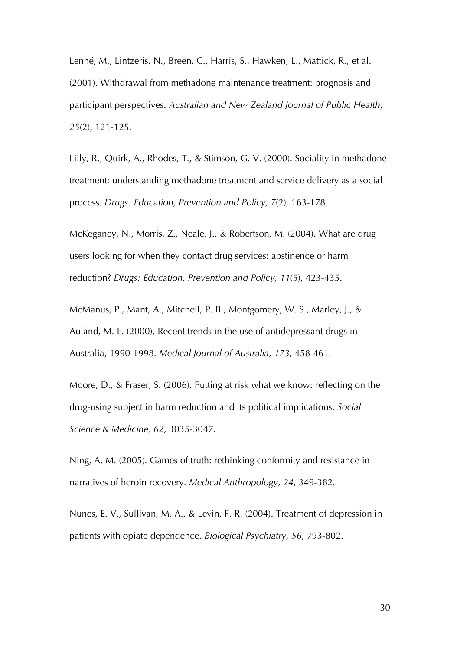Lenné, M., Lintzeris, N., Breen, C., Harris, S., Hawken, L., Mattick, R., et al. (2001). Withdrawal from methadone maintenance treatment: prognosis and participant perspectives. *Australian and New Zealand Journal of Public Health*, *25*(2), 121-125.

Lilly, R., Quirk, A., Rhodes, T., & Stimson, G. V. (2000). Sociality in methadone treatment: understanding methadone treatment and service delivery as a social process. *Drugs: Education, Prevention and Policy, 7*(2), 163-178.

McKeganey, N., Morris, Z., Neale, J., & Robertson, M. (2004). What are drug users looking for when they contact drug services: abstinence or harm reduction? *Drugs: Education, Prevention and Policy, 11*(5), 423-435.

McManus, P., Mant, A., Mitchell, P. B., Montgomery, W. S., Marley, J., & Auland, M. E. (2000). Recent trends in the use of antidepressant drugs in Australia, 1990-1998. *Medical Journal of Australia, 173*, 458-461.

Moore, D., & Fraser, S. (2006). Putting at risk what we know: reflecting on the drug-using subject in harm reduction and its political implications. *Social Science & Medicine, 62*, 3035-3047.

Ning, A. M. (2005). Games of truth: rethinking conformity and resistance in narratives of heroin recovery. *Medical Anthropology, 24*, 349-382.

Nunes, E. V., Sullivan, M. A., & Levin, F. R. (2004). Treatment of depression in patients with opiate dependence. *Biological Psychiatry, 56*, 793-802.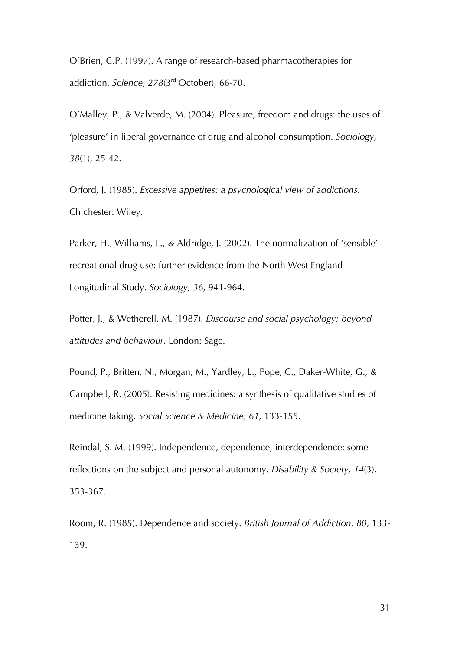O'Brien, C.P. (1997). A range of research-based pharmacotherapies for addiction. *Science, 278*(3rd October), 66-70.

O'Malley, P., & Valverde, M. (2004). Pleasure, freedom and drugs: the uses of 'pleasure' in liberal governance of drug and alcohol consumption. *Sociology, 38*(1), 25-42.

Orford, J. (1985). *Excessive appetites: a psychological view of addictions*. Chichester: Wiley.

Parker, H., Williams, L., & Aldridge, J. (2002). The normalization of 'sensible' recreational drug use: further evidence from the North West England Longitudinal Study. *Sociology, 36*, 941-964.

Potter, J., & Wetherell, M. (1987). *Discourse and social psychology: beyond attitudes and behaviour*. London: Sage.

Pound, P., Britten, N., Morgan, M., Yardley, L., Pope, C., Daker-White, G., & Campbell, R. (2005). Resisting medicines: a synthesis of qualitative studies of medicine taking. *Social Science & Medicine, 61*, 133-155.

Reindal, S. M. (1999). Independence, dependence, interdependence: some reflections on the subject and personal autonomy. *Disability & Society, 14*(3), 353-367.

Room, R. (1985). Dependence and society. *British Journal of Addiction, 80*, 133- 139.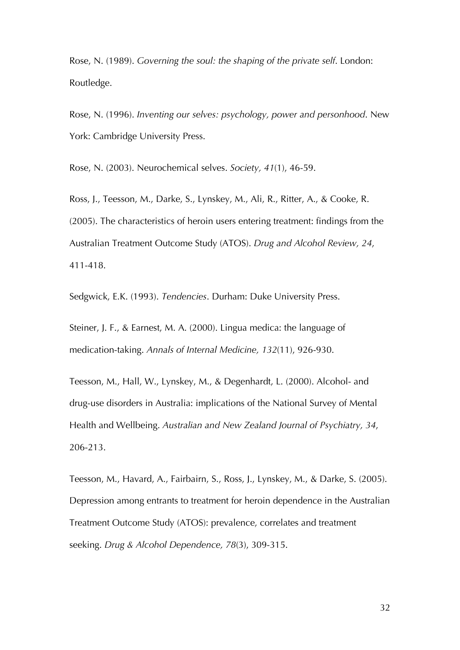Rose, N. (1989). *Governing the soul: the shaping of the private self*. London: Routledge.

Rose, N. (1996). *Inventing our selves: psychology, power and personhood*. New York: Cambridge University Press.

Rose, N. (2003). Neurochemical selves. *Society, 41*(1), 46-59.

Ross, J., Teesson, M., Darke, S., Lynskey, M., Ali, R., Ritter, A., & Cooke, R. (2005). The characteristics of heroin users entering treatment: findings from the Australian Treatment Outcome Study (ATOS). *Drug and Alcohol Review, 24*, 411-418.

Sedgwick, E.K. (1993). *Tendencies*. Durham: Duke University Press.

Steiner, J. F., & Earnest, M. A. (2000). Lingua medica: the language of medication-taking. *Annals of Internal Medicine, 132*(11), 926-930.

Teesson, M., Hall, W., Lynskey, M., & Degenhardt, L. (2000). Alcohol- and drug-use disorders in Australia: implications of the National Survey of Mental Health and Wellbeing. *Australian and New Zealand Journal of Psychiatry, 34*, 206-213.

Teesson, M., Havard, A., Fairbairn, S., Ross, J., Lynskey, M., & Darke, S. (2005). Depression among entrants to treatment for heroin dependence in the Australian Treatment Outcome Study (ATOS): prevalence, correlates and treatment seeking. *Drug & Alcohol Dependence, 78*(3), 309-315.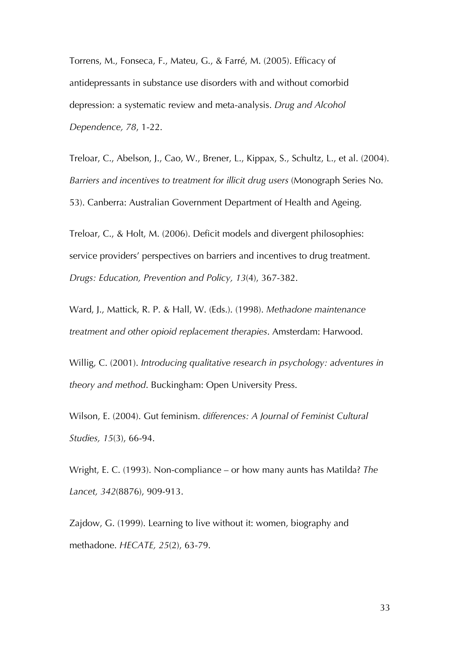Torrens, M., Fonseca, F., Mateu, G., & Farré, M. (2005). Efficacy of antidepressants in substance use disorders with and without comorbid depression: a systematic review and meta-analysis. *Drug and Alcohol Dependence, 78*, 1-22.

Treloar, C., Abelson, J., Cao, W., Brener, L., Kippax, S., Schultz, L., et al. (2004). *Barriers and incentives to treatment for illicit drug users* (Monograph Series No. 53). Canberra: Australian Government Department of Health and Ageing.

Treloar, C., & Holt, M. (2006). Deficit models and divergent philosophies: service providers' perspectives on barriers and incentives to drug treatment. *Drugs: Education, Prevention and Policy, 13*(4), 367-382.

Ward, J., Mattick, R. P. & Hall, W. (Eds.). (1998). *Methadone maintenance treatment and other opioid replacement therapies*. Amsterdam: Harwood.

Willig, C. (2001). *Introducing qualitative research in psychology: adventures in theory and method*. Buckingham: Open University Press.

Wilson, E. (2004). Gut feminism. *differences: A Journal of Feminist Cultural Studies, 15*(3), 66-94.

Wright, E. C. (1993). Non-compliance – or how many aunts has Matilda? *The Lancet, 342*(8876), 909-913.

Zajdow, G. (1999). Learning to live without it: women, biography and methadone. *HECATE, 25*(2), 63-79.